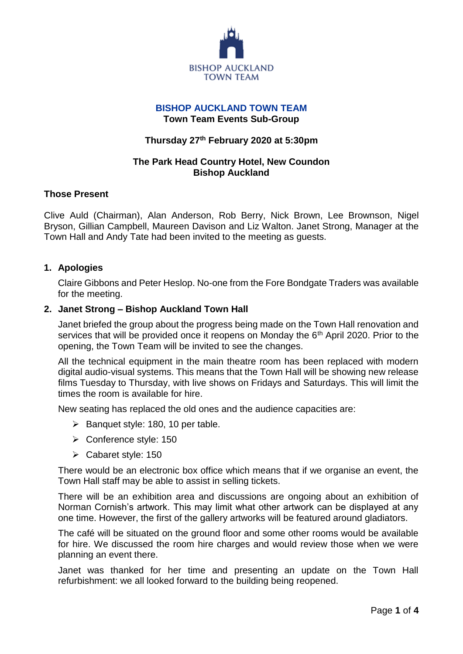

## **BISHOP AUCKLAND TOWN TEAM Town Team Events Sub-Group**

## **Thursday 27th February 2020 at 5:30pm**

## **The Park Head Country Hotel, New Coundon Bishop Auckland**

#### **Those Present**

Clive Auld (Chairman), Alan Anderson, Rob Berry, Nick Brown, Lee Brownson, Nigel Bryson, Gillian Campbell, Maureen Davison and Liz Walton. Janet Strong, Manager at the Town Hall and Andy Tate had been invited to the meeting as guests.

## **1. Apologies**

Claire Gibbons and Peter Heslop. No-one from the Fore Bondgate Traders was available for the meeting.

#### **2. Janet Strong – Bishop Auckland Town Hall**

Janet briefed the group about the progress being made on the Town Hall renovation and services that will be provided once it reopens on Monday the 6<sup>th</sup> April 2020. Prior to the opening, the Town Team will be invited to see the changes.

All the technical equipment in the main theatre room has been replaced with modern digital audio-visual systems. This means that the Town Hall will be showing new release films Tuesday to Thursday, with live shows on Fridays and Saturdays. This will limit the times the room is available for hire.

New seating has replaced the old ones and the audience capacities are:

- $\triangleright$  Banquet style: 180, 10 per table.
- Conference style: 150
- Cabaret style: 150

There would be an electronic box office which means that if we organise an event, the Town Hall staff may be able to assist in selling tickets.

There will be an exhibition area and discussions are ongoing about an exhibition of Norman Cornish's artwork. This may limit what other artwork can be displayed at any one time. However, the first of the gallery artworks will be featured around gladiators.

The café will be situated on the ground floor and some other rooms would be available for hire. We discussed the room hire charges and would review those when we were planning an event there.

Janet was thanked for her time and presenting an update on the Town Hall refurbishment: we all looked forward to the building being reopened.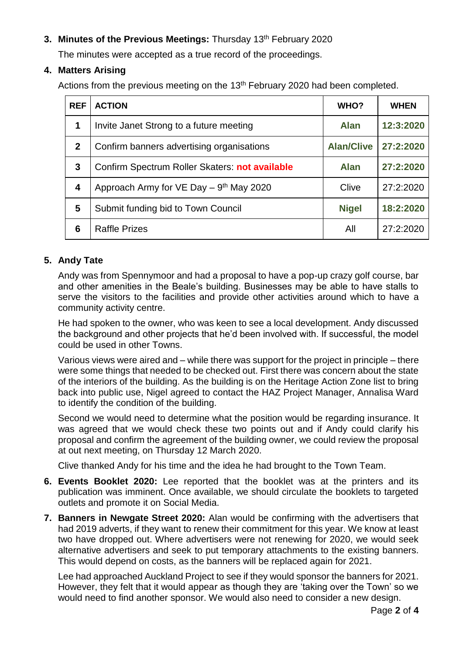# **3. Minutes of the Previous Meetings:** Thursday 13 th February 2020

The minutes were accepted as a true record of the proceedings.

## **4. Matters Arising**

Actions from the previous meeting on the 13<sup>th</sup> February 2020 had been completed.

| <b>REF</b>  | <b>ACTION</b>                                          | WHO?              | <b>WHEN</b> |
|-------------|--------------------------------------------------------|-------------------|-------------|
| 1           | Invite Janet Strong to a future meeting                | <b>Alan</b>       | 12:3:2020   |
| $\mathbf 2$ | Confirm banners advertising organisations              | <b>Alan/Clive</b> | 27:2:2020   |
| 3           | Confirm Spectrum Roller Skaters: not available         | <b>Alan</b>       | 27:2:2020   |
| 4           | Approach Army for $VE$ Day $-9$ <sup>th</sup> May 2020 | Clive             | 27:2:2020   |
| 5           | Submit funding bid to Town Council                     | <b>Nigel</b>      | 18:2:2020   |
| 6           | <b>Raffle Prizes</b>                                   | All               | 27:2:2020   |

## **5. Andy Tate**

Andy was from Spennymoor and had a proposal to have a pop-up crazy golf course, bar and other amenities in the Beale's building. Businesses may be able to have stalls to serve the visitors to the facilities and provide other activities around which to have a community activity centre.

He had spoken to the owner, who was keen to see a local development. Andy discussed the background and other projects that he'd been involved with. If successful, the model could be used in other Towns.

Various views were aired and – while there was support for the project in principle – there were some things that needed to be checked out. First there was concern about the state of the interiors of the building. As the building is on the Heritage Action Zone list to bring back into public use, Nigel agreed to contact the HAZ Project Manager, Annalisa Ward to identify the condition of the building.

Second we would need to determine what the position would be regarding insurance. It was agreed that we would check these two points out and if Andy could clarify his proposal and confirm the agreement of the building owner, we could review the proposal at out next meeting, on Thursday 12 March 2020.

Clive thanked Andy for his time and the idea he had brought to the Town Team.

- **6. Events Booklet 2020:** Lee reported that the booklet was at the printers and its publication was imminent. Once available, we should circulate the booklets to targeted outlets and promote it on Social Media.
- **7. Banners in Newgate Street 2020:** Alan would be confirming with the advertisers that had 2019 adverts, if they want to renew their commitment for this year. We know at least two have dropped out. Where advertisers were not renewing for 2020, we would seek alternative advertisers and seek to put temporary attachments to the existing banners. This would depend on costs, as the banners will be replaced again for 2021.

Lee had approached Auckland Project to see if they would sponsor the banners for 2021. However, they felt that it would appear as though they are 'taking over the Town' so we would need to find another sponsor. We would also need to consider a new design.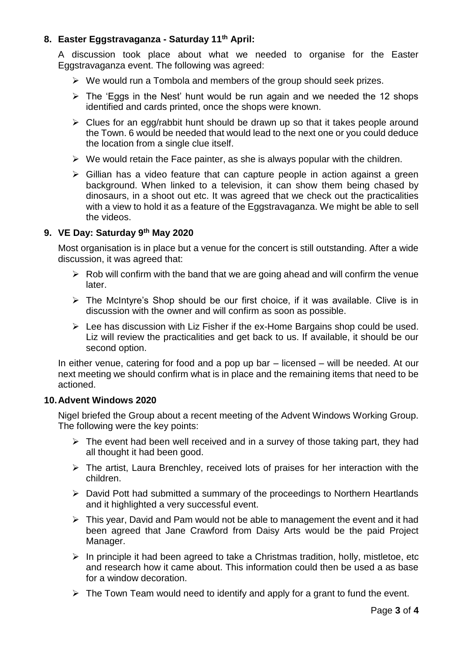## **8. Easter Eggstravaganza - Saturday 11th April:**

A discussion took place about what we needed to organise for the Easter Eggstravaganza event. The following was agreed:

- $\triangleright$  We would run a Tombola and members of the group should seek prizes.
- $\triangleright$  The 'Eggs in the Nest' hunt would be run again and we needed the 12 shops identified and cards printed, once the shops were known.
- $\triangleright$  Clues for an egg/rabbit hunt should be drawn up so that it takes people around the Town. 6 would be needed that would lead to the next one or you could deduce the location from a single clue itself.
- $\triangleright$  We would retain the Face painter, as she is always popular with the children.
- $\triangleright$  Gillian has a video feature that can capture people in action against a green background. When linked to a television, it can show them being chased by dinosaurs, in a shoot out etc. It was agreed that we check out the practicalities with a view to hold it as a feature of the Eggstravaganza. We might be able to sell the videos.

#### **9. VE Day: Saturday 9th May 2020**

Most organisation is in place but a venue for the concert is still outstanding. After a wide discussion, it was agreed that:

- $\triangleright$  Rob will confirm with the band that we are going ahead and will confirm the venue later.
- $\triangleright$  The McIntyre's Shop should be our first choice, if it was available. Clive is in discussion with the owner and will confirm as soon as possible.
- $\triangleright$  Lee has discussion with Liz Fisher if the ex-Home Bargains shop could be used. Liz will review the practicalities and get back to us. If available, it should be our second option.

In either venue, catering for food and a pop up bar – licensed – will be needed. At our next meeting we should confirm what is in place and the remaining items that need to be actioned.

#### **10.Advent Windows 2020**

Nigel briefed the Group about a recent meeting of the Advent Windows Working Group. The following were the key points:

- $\triangleright$  The event had been well received and in a survey of those taking part, they had all thought it had been good.
- $\triangleright$  The artist, Laura Brenchley, received lots of praises for her interaction with the children.
- $\triangleright$  David Pott had submitted a summary of the proceedings to Northern Heartlands and it highlighted a very successful event.
- $\triangleright$  This year, David and Pam would not be able to management the event and it had been agreed that Jane Crawford from Daisy Arts would be the paid Project Manager.
- $\triangleright$  In principle it had been agreed to take a Christmas tradition, holly, mistletoe, etc and research how it came about. This information could then be used a as base for a window decoration.
- $\triangleright$  The Town Team would need to identify and apply for a grant to fund the event.